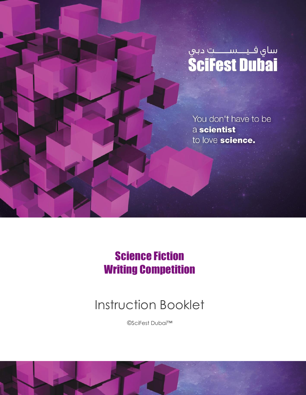

You don't have to be a scientist to love science.

### Science Fiction Writing Competition

## Instruction Booklet

*©*SciFest Dubai™

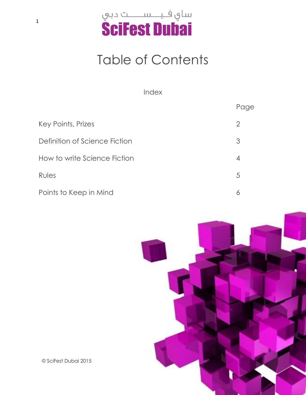

## Table of Contents

Index

| Key Points, Prizes            | 2 |
|-------------------------------|---|
| Definition of Science Fiction | 3 |
| How to write Science Fiction  | 4 |
| Rules                         | 5 |
| Points to Keep in Mind        | 6 |



Page

*©* SciFest Dubai 2015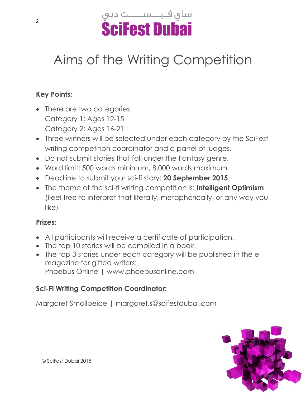

# Aims of the Writing Competition

#### **Key Points:**

- There are two categories: Category 1: Ages 12-15 Category 2: Ages 16-21
- Three winners will be selected under each category by the SciFest writing competition coordinator and a panel of judges.
- Do not submit stories that fall under the Fantasy genre.
- Word limit: 500 words minimum, 8,000 words maximum.
- Deadline to submit your sci-fi story: **20 September 2015**
- The theme of the sci-fi writing competition is: **Intelligent Optimism** (Feel free to interpret that literally, metaphorically, or any way you like)

#### **Prizes:**

- All participants will receive a certificate of participation.
- The top 10 stories will be compiled in a book.
- The top 3 stories under each category will be published in the emagazine for gifted writers: Phoebus Online | www.phoebusonline.com

#### **Sci-Fi Writing Competition Coordinator:**

Margaret Smallpeice | margaret.s@scifestdubai.com

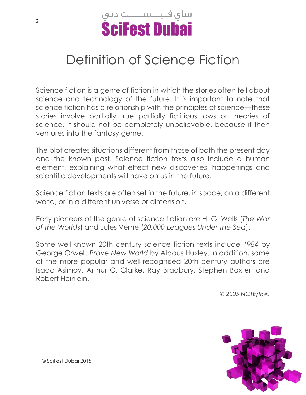

## Definition of Science Fiction

Science fiction is a genre of fiction in which the stories often tell about science and technology of the future. It is important to note that science fiction has a relationship with the principles of science—these stories involve partially true partially fictitious laws or theories of science. It should not be completely unbelievable, because it then ventures into the fantasy genre.

The plot creates situations different from those of both the present day and the known past. Science fiction texts also include a human element, explaining what effect new discoveries, happenings and scientific developments will have on us in the future.

Science fiction texts are often set in the future, in space, on a different world, or in a different universe or dimension.

Early pioneers of the genre of science fiction are H. G. Wells (*The War of the Worlds*) and Jules Verne (*20,000 Leagues Under the Sea*).

Some well-known 20th century science fiction texts include *1984* by George Orwell, *Brave New World* by Aldous Huxley. In addition, some of the more popular and well-recognised 20th century authors are Isaac Asimov, Arthur C. Clarke, Ray Bradbury, Stephen Baxter, and Robert Heinlein.

*© 2005 NCTE/IRA.*

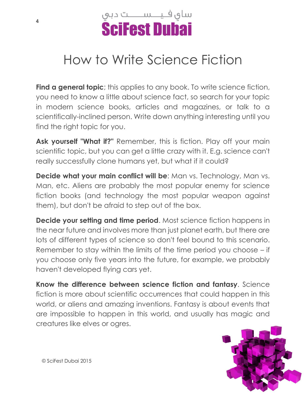

### How to Write Science Fiction

**Find a general topic**; this applies to any book. To write science fiction, you need to know a little about science fact, so search for your topic in modern science books, articles and magazines, or talk to a scientifically-inclined person. Write down anything interesting until you find the right topic for you.

Ask yourself "What if?" Remember, this is fiction. Play off your main scientific topic, but you can get a little crazy with it. E.g. science can't really successfully clone humans yet, but what if it could?

**Decide what your main conflict will be:** Man vs. Technology, Man vs. Man, etc. Aliens are probably the most popular enemy for science fiction books (and technology the most popular weapon against them), but don't be afraid to step out of the box.

**Decide your setting and time period**. Most science fiction happens in the near future and involves more than just planet earth, but there are lots of different types of science so don't feel bound to this scenario. Remember to stay within the limits of the time period you choose – if you choose only five years into the future, for example, we probably haven't developed flying cars yet.

**Know the difference between science fiction and fantasy**. Science fiction is more about scientific occurrences that could happen in this world, or aliens and amazing inventions. Fantasy is about events that are impossible to happen in this world, and usually has magic and creatures like elves or ogres.

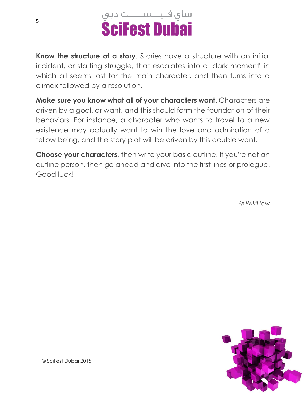



**Know the structure of a story**. Stories have a structure with an initial incident, or starting struggle, that escalates into a "dark moment" in which all seems lost for the main character, and then turns into a climax followed by a resolution.

**Make sure you know what all of your characters want**. Characters are driven by a goal, or want, and this should form the foundation of their behaviors. For instance, a character who wants to travel to a new existence may actually want to win the love and admiration of a fellow being, and the story plot will be driven by this double want.

**Choose your characters**, then write your basic outline. If you're not an outline person, then go ahead and dive into the first lines or prologue. Good luck!

*© WikiHow*

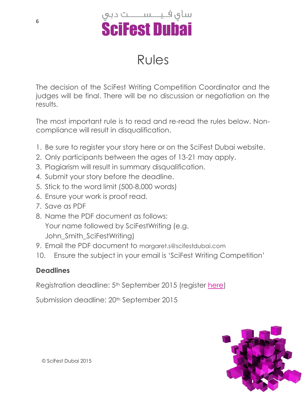

### Rules

The decision of the SciFest Writing Competition Coordinator and the judges will be final. There will be no discussion or negotiation on the results.

The most important rule is to read and re-read the rules below. Noncompliance will result in disqualification.

- 1. Be sure to register your story here or on the SciFest Dubai website.
- 2. Only participants between the ages of 13-21 may apply.
- 3. Plagiarism will result in summary disqualification.
- 4. Submit your story before the deadline.
- 5. Stick to the word limit (500-8,000 words)
- 6. Ensure your work is proof read.
- 7. Save as PDF
- 8. Name the PDF document as follows: Your name followed by SciFestWriting (e.g. John Smith SciFestWriting)
- 9. Email the PDF document to margaret.s@scifestdubai.com
- 10. Ensure the subject in your email is 'SciFest Writing Competition'

#### **Deadlines**

Registration deadline: 5th September 2015 (register [here\)](https://docs.google.com/forms/d/1wUudqcxeb_MLJwhY0xt3LRvuKH2sLRmJe_MKWcNhd_s/viewform?usp=send_form)

Submission deadline: 20th September 2015